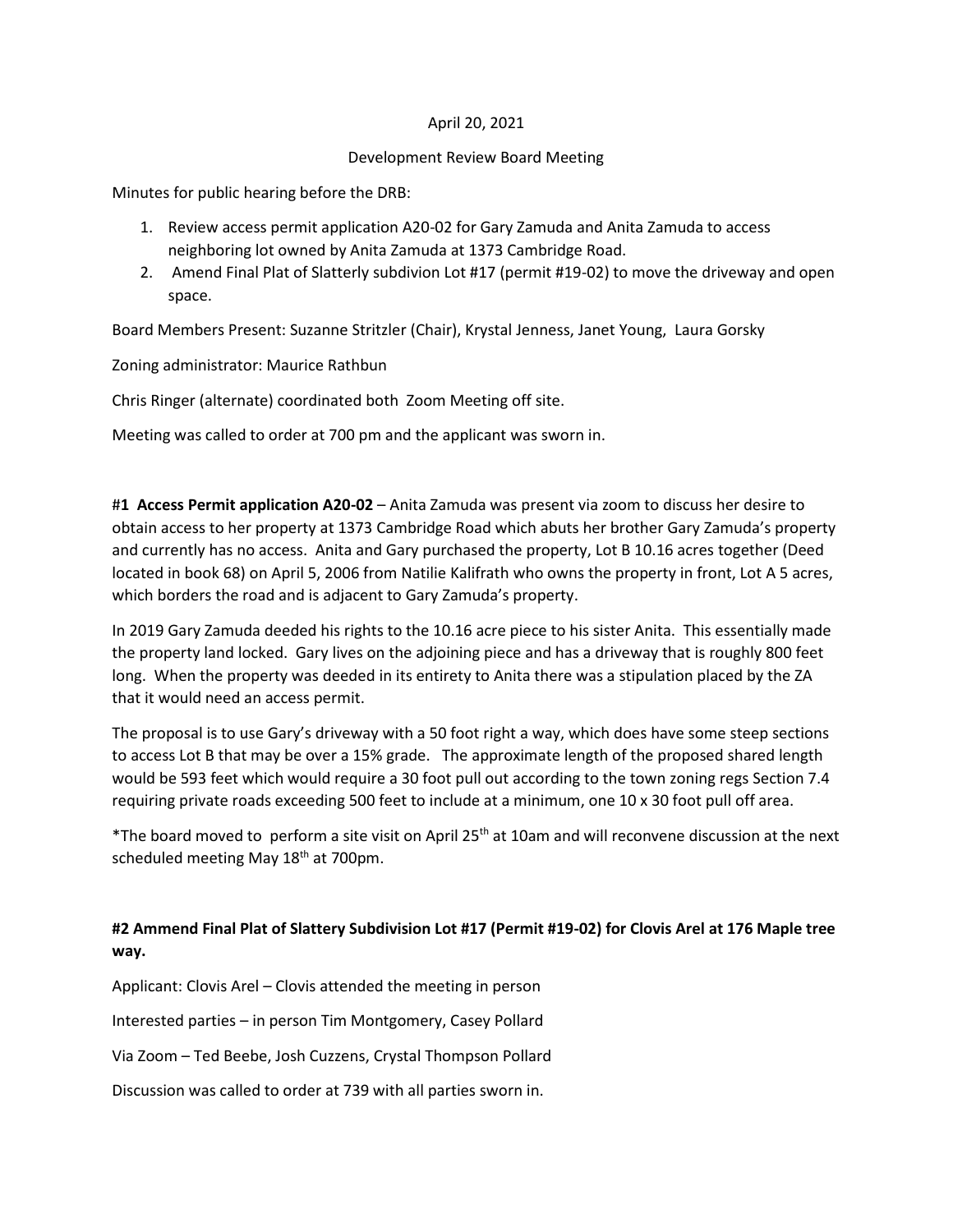## April 20, 2021

## Development Review Board Meeting

Minutes for public hearing before the DRB:

- 1. Review access permit application A20-02 for Gary Zamuda and Anita Zamuda to access neighboring lot owned by Anita Zamuda at 1373 Cambridge Road.
- 2. Amend Final Plat of Slatterly subdivion Lot #17 (permit #19-02) to move the driveway and open space.

Board Members Present: Suzanne Stritzler (Chair), Krystal Jenness, Janet Young, Laura Gorsky

Zoning administrator: Maurice Rathbun

Chris Ringer (alternate) coordinated both Zoom Meeting off site.

Meeting was called to order at 700 pm and the applicant was sworn in.

#**1 Access Permit application A20-02** – Anita Zamuda was present via zoom to discuss her desire to obtain access to her property at 1373 Cambridge Road which abuts her brother Gary Zamuda's property and currently has no access. Anita and Gary purchased the property, Lot B 10.16 acres together (Deed located in book 68) on April 5, 2006 from Natilie Kalifrath who owns the property in front, Lot A 5 acres, which borders the road and is adjacent to Gary Zamuda's property.

In 2019 Gary Zamuda deeded his rights to the 10.16 acre piece to his sister Anita. This essentially made the property land locked. Gary lives on the adjoining piece and has a driveway that is roughly 800 feet long. When the property was deeded in its entirety to Anita there was a stipulation placed by the ZA that it would need an access permit.

The proposal is to use Gary's driveway with a 50 foot right a way, which does have some steep sections to access Lot B that may be over a 15% grade. The approximate length of the proposed shared length would be 593 feet which would require a 30 foot pull out according to the town zoning regs Section 7.4 requiring private roads exceeding 500 feet to include at a minimum, one 10 x 30 foot pull off area.

\*The board moved to perform a site visit on April 25th at 10am and will reconvene discussion at the next scheduled meeting May 18<sup>th</sup> at 700pm.

## **#2 Ammend Final Plat of Slattery Subdivision Lot #17 (Permit #19-02) for Clovis Arel at 176 Maple tree way.**

Applicant: Clovis Arel – Clovis attended the meeting in person

Interested parties – in person Tim Montgomery, Casey Pollard

Via Zoom – Ted Beebe, Josh Cuzzens, Crystal Thompson Pollard

Discussion was called to order at 739 with all parties sworn in.